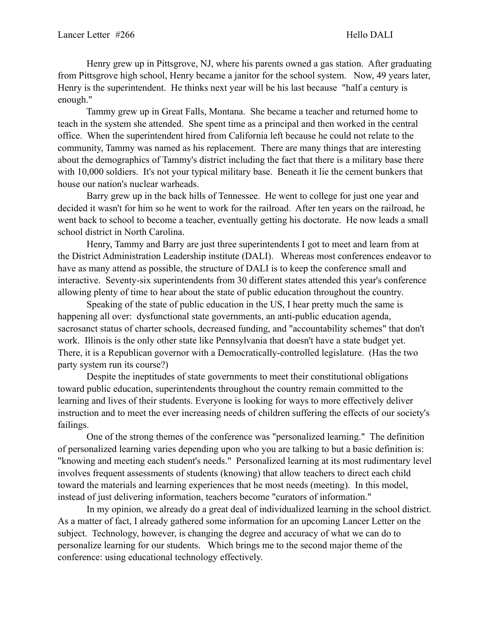Henry grew up in Pittsgrove, NJ, where his parents owned a gas station. After graduating from Pittsgrove high school, Henry became a janitor for the school system. Now, 49 years later, Henry is the superintendent. He thinks next year will be his last because "half a century is enough."

 Tammy grew up in Great Falls, Montana. She became a teacher and returned home to teach in the system she attended. She spent time as a principal and then worked in the central office. When the superintendent hired from California left because he could not relate to the community, Tammy was named as his replacement. There are many things that are interesting about the demographics of Tammy's district including the fact that there is a military base there with 10,000 soldiers. It's not your typical military base. Beneath it lie the cement bunkers that house our nation's nuclear warheads.

 Barry grew up in the back hills of Tennessee. He went to college for just one year and decided it wasn't for him so he went to work for the railroad. After ten years on the railroad, he went back to school to become a teacher, eventually getting his doctorate. He now leads a small school district in North Carolina.

 Henry, Tammy and Barry are just three superintendents I got to meet and learn from at the District Administration Leadership institute (DALI). Whereas most conferences endeavor to have as many attend as possible, the structure of DALI is to keep the conference small and interactive. Seventy-six superintendents from 30 different states attended this year's conference allowing plenty of time to hear about the state of public education throughout the country.

 Speaking of the state of public education in the US, I hear pretty much the same is happening all over: dysfunctional state governments, an anti-public education agenda, sacrosanct status of charter schools, decreased funding, and "accountability schemes" that don't work. Illinois is the only other state like Pennsylvania that doesn't have a state budget yet. There, it is a Republican governor with a Democratically-controlled legislature. (Has the two party system run its course?)

 Despite the ineptitudes of state governments to meet their constitutional obligations toward public education, superintendents throughout the country remain committed to the learning and lives of their students. Everyone is looking for ways to more effectively deliver instruction and to meet the ever increasing needs of children suffering the effects of our society's failings.

 One of the strong themes of the conference was "personalized learning." The definition of personalized learning varies depending upon who you are talking to but a basic definition is: "knowing and meeting each student's needs." Personalized learning at its most rudimentary level involves frequent assessments of students (knowing) that allow teachers to direct each child toward the materials and learning experiences that he most needs (meeting). In this model, instead of just delivering information, teachers become "curators of information."

 In my opinion, we already do a great deal of individualized learning in the school district. As a matter of fact, I already gathered some information for an upcoming Lancer Letter on the subject. Technology, however, is changing the degree and accuracy of what we can do to personalize learning for our students. Which brings me to the second major theme of the conference: using educational technology effectively.